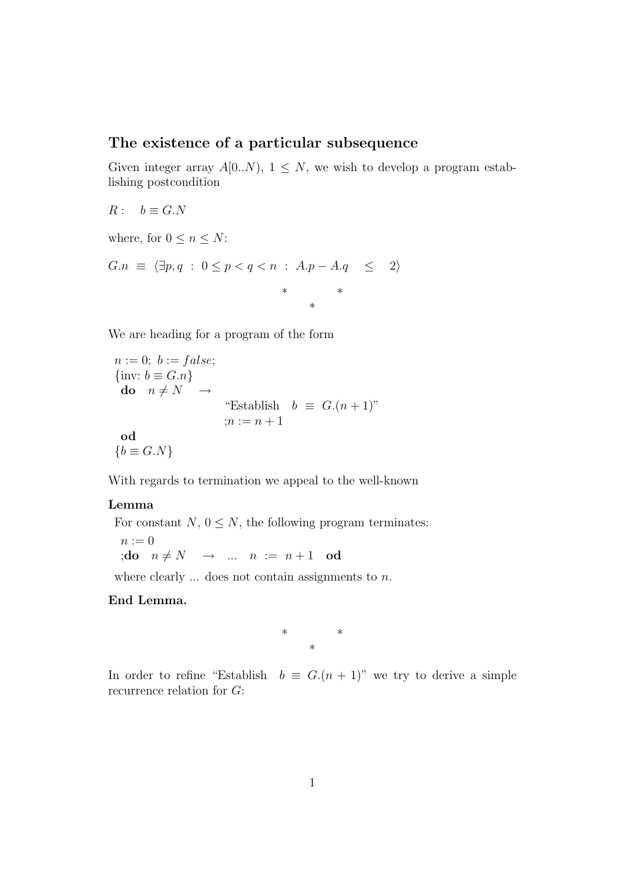## The existence of a particular subsequence

Given integer array  $A[0..N)$ ,  $1 \leq N$ , we wish to develop a program establishing postcondition

 $R: b \equiv G.N$ 

where, for  $0 \leq n \leq N$ :

$$
G.n \equiv \langle \exists p, q : 0 \le p < q < n : A.p - A.q \le 2 \rangle
$$
  
\n\* \*  
\n\*

We are heading for a program of the form

 $n := 0$ ;  $b := false$ ;  $\{$ inv:  $b \equiv G.n\}$ do  $n \neq N \rightarrow$ "Establish  $b \equiv G.(n+1)$ "  $:n := n + 1$ od  ${b \equiv G.N}$ 

With regards to termination we appeal to the well-known

## Lemma

For constant  $N, 0 \leq N$ , the following program terminates:

 $n := 0$ ;do  $n \neq N \rightarrow \dots n := n + 1$  od

where clearly  $\ldots$  does not contain assignments to n.

## End Lemma.

\* \* \*

In order to refine "Establish  $b \equiv G(n+1)$ " we try to derive a simple recurrence relation for G: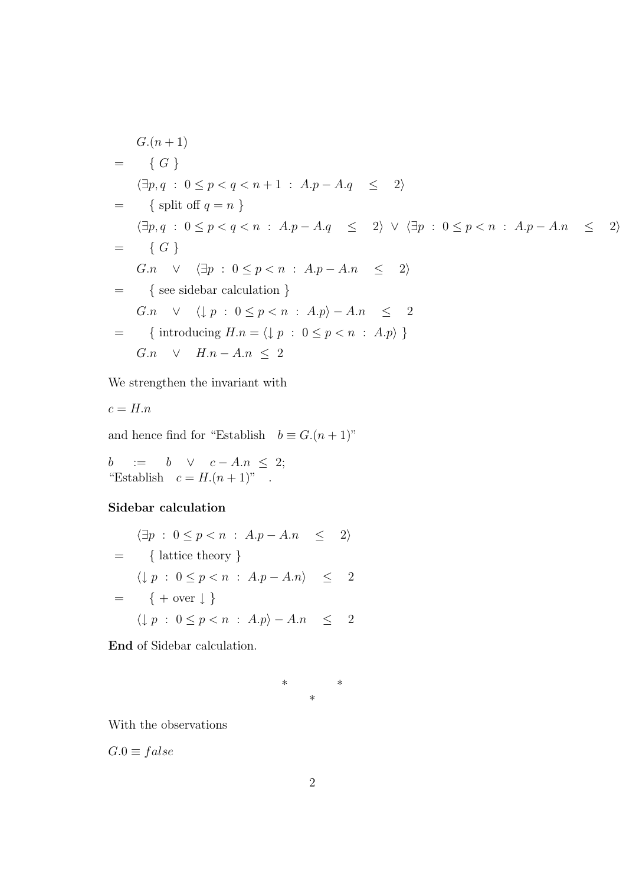$$
G.(n + 1)
$$
\n
$$
= \{ G \}
$$
\n
$$
\langle \exists p, q : 0 \le p < q < n + 1 : A.p - A.q \le 2 \rangle
$$
\n
$$
= \{ \text{split of } q = n \}
$$
\n
$$
\langle \exists p, q : 0 \le p < q < n : A.p - A.q \le 2 \rangle \lor \langle \exists p : 0 \le p < n : A.p - A.n \le 2 \rangle
$$
\n
$$
= \{ G \}
$$
\n
$$
G.n \lor \langle \exists p : 0 \le p < n : A.p - A.n \le 2 \rangle
$$
\n
$$
= \{ \text{see sidebar calculation } \}
$$
\n
$$
G.n \lor \langle \downarrow p : 0 \le p < n : A.p \rangle - A.n \le 2
$$
\n
$$
= \{ \text{introducing } H.n = \langle \downarrow p : 0 \le p < n : A.p \rangle \}
$$
\n
$$
G.n \lor H.n - A.n \le 2
$$

We strengthen the invariant with

$$
c = H.n
$$

and hence find for "Establish  $b \equiv G.(n + 1)$ "

 $b$  := b  $\vee$   $c - A.n \leq 2;$ "Establish  $c = H.(n + 1)$ ".

## Sidebar calculation

$$
\langle \exists p : 0 \le p < n : A.p - A.n \le 2 \rangle
$$
\n
$$
= \{ \text{lattice theory } \}
$$
\n
$$
\langle \downarrow p : 0 \le p < n : A.p - A.n \rangle \le 2
$$
\n
$$
= \{ + \text{over } \downarrow \}
$$
\n
$$
\langle \downarrow p : 0 \le p < n : A.p \rangle - A.n \le 2
$$

End of Sidebar calculation.

$$
\begin{matrix} * \\ * \end{matrix}
$$

With the observations

 $G.0 \equiv false$